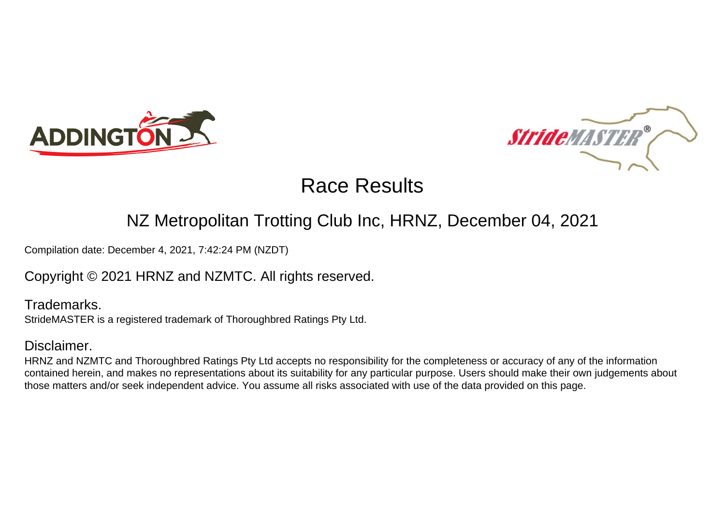



#### NZ Metropolitan Trotting Club Inc, HRNZ, December 04, 2021

Compilation date: December 4, 2021, 7:42:24 PM (NZDT)

Copyright © 2021 HRNZ and NZMTC. All rights reserved.

Trademarks. StrideMASTER is a registered trademark of Thoroughbred Ratings Pty Ltd.

#### Disclaimer.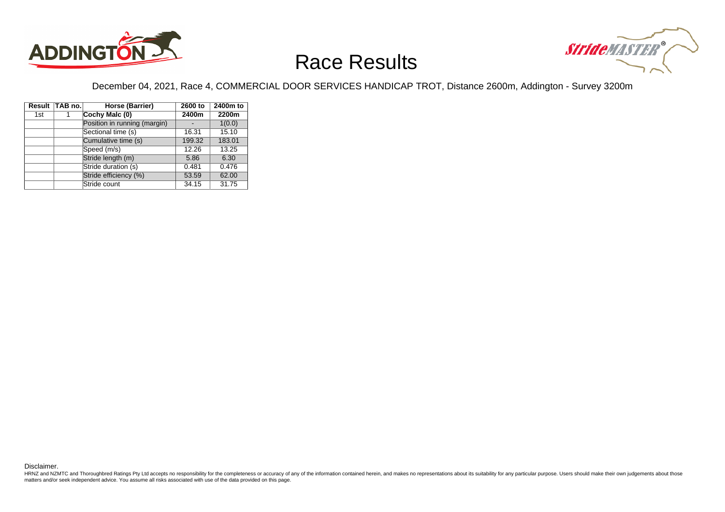



December 04, 2021, Race 4, COMMERCIAL DOOR SERVICES HANDICAP TROT, Distance 2600m, Addington - Survey 3200m

|     | Result TAB no. | Horse (Barrier)              | 2600 to | 2400m to |
|-----|----------------|------------------------------|---------|----------|
| 1st |                | Cochy Malc (0)               | 2400m   | 2200m    |
|     |                | Position in running (margin) |         | 1(0.0)   |
|     |                | Sectional time (s)           | 16.31   | 15.10    |
|     |                | Cumulative time (s)          | 199.32  | 183.01   |
|     |                | Speed (m/s)                  | 12.26   | 13.25    |
|     |                | Stride length (m)            | 5.86    | 6.30     |
|     |                | Stride duration (s)          | 0.481   | 0.476    |
|     |                | Stride efficiency (%)        | 53.59   | 62.00    |
|     |                | Stride count                 | 34.15   | 31.75    |

Disclaimer.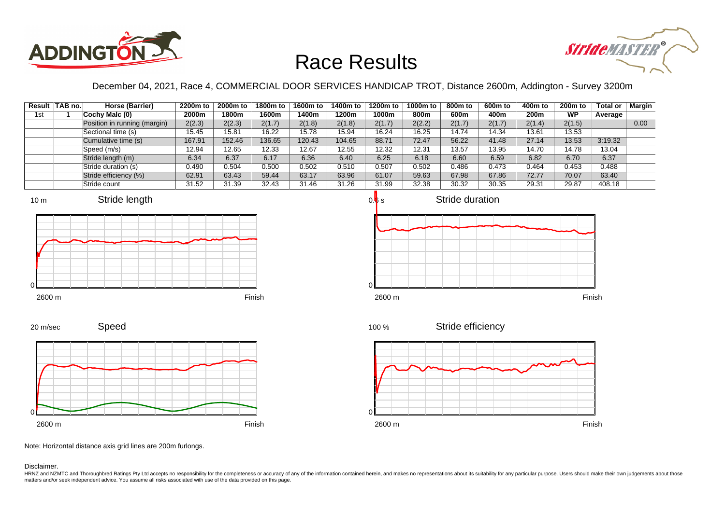



December 04, 2021, Race 4, COMMERCIAL DOOR SERVICES HANDICAP TROT, Distance 2600m, Addington - Survey 3200m

|     | Result   TAB no. | Horse (Barrier)              | 2200m to | 2000m to | 1800m to | 1600m to | 1400m to | 1200m to | 1000m to | 800m to | 600m to | 400m to | 200 <sub>m</sub> to | <b>Total or</b> | Margin |
|-----|------------------|------------------------------|----------|----------|----------|----------|----------|----------|----------|---------|---------|---------|---------------------|-----------------|--------|
| 1st |                  | Cochy Malc $(0)$             | 2000m    | 1800m    | 1600m    | 1400m    | 1200m    | 1000m    | 800m     | 600m    | 400m    | 200m    | <b>WP</b>           | Average         |        |
|     |                  | Position in running (margin) | 2(2.3)   | 2(2.3)   | 2(1.7)   | 2(1.8)   | 2(1.8)   | 2(1.7)   | 2(2.2)   | 2(1.7)  | 2(1.7)  | 2(1.4)  | 2(1.5)              |                 | 0.00   |
|     |                  | Sectional time (s)           | 15.45    | 15.81    | 16.22    | 15.78    | 15.94    | 16.24    | 16.25    | 14.74   | 14.34   | 13.61   | 13.53               |                 |        |
|     |                  | Cumulative time (s)          | 167.91   | 152.46   | 136.65   | 120.43   | 104.65   | 88.71    | 72.47    | 56.22   | 41.48   | 27.14   | 13.53               | 3:19.32         |        |
|     |                  | Speed (m/s)                  | 12.94    | 12.65    | 12.33    | 12.67    | 12.55    | 12.32    | 12.31    | 13.57   | 13.95   | 14.70   | 14.78               | 13.04           |        |
|     |                  | Stride length (m)            | 6.34     | 6.37     | 6.17     | 6.36     | 6.40     | 6.25     | 6.18     | 6.60    | 6.59    | 6.82    | 6.70                | 6.37            |        |
|     |                  | Stride duration (s)          | 0.490    | 0.504    | 0.500    | 0.502    | 0.510    | 0.507    | 0.502    | 0.486   | 0.473   | 0.464   | 0.453               | 0.488           |        |
|     |                  | Stride efficiency (%)        | 62.91    | 63.43    | 59.44    | 63.17    | 63.96    | 61.07    | 59.63    | 67.98   | 67.86   | 72.77   | 70.07               | 63.40           |        |
|     |                  | Stride count                 | 31.52    | 31.39    | 32.43    | 31.46    | 31.26    | 31.99    | 32.38    | 30.32   | 30.35   | 29.31   | 29.87               | 408.18          |        |









Speed 20 m/sec



Note: Horizontal distance axis grid lines are 200m furlongs.

Disclaimer.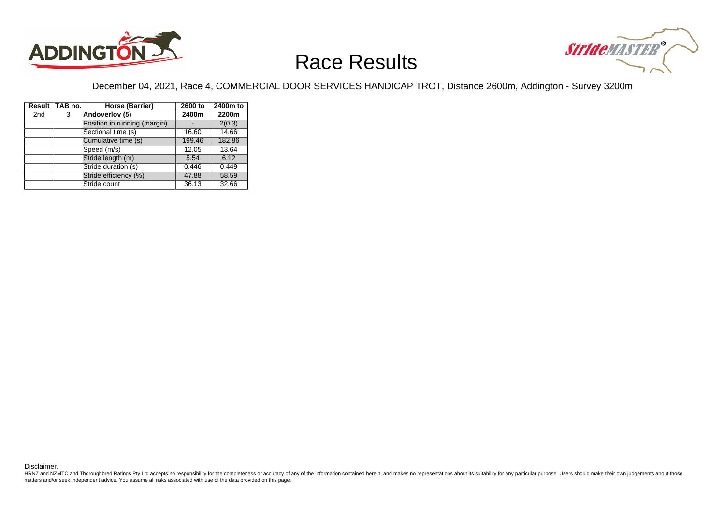



December 04, 2021, Race 4, COMMERCIAL DOOR SERVICES HANDICAP TROT, Distance 2600m, Addington - Survey 3200m

|                 | Result TAB no. | Horse (Barrier)              | 2600 to | 2400m to |
|-----------------|----------------|------------------------------|---------|----------|
| 2 <sub>nd</sub> | 3              | Andoverlov (5)               | 2400m   | 2200m    |
|                 |                | Position in running (margin) |         | 2(0.3)   |
|                 |                | Sectional time (s)           | 16.60   | 14.66    |
|                 |                | Cumulative time (s)          | 199.46  | 182.86   |
|                 |                | Speed (m/s)                  | 12.05   | 13.64    |
|                 |                | Stride length (m)            | 5.54    | 6.12     |
|                 |                | Stride duration (s)          | 0.446   | 0.449    |
|                 |                | Stride efficiency (%)        | 47.88   | 58.59    |
|                 |                | Stride count                 | 36.13   | 32.66    |

Disclaimer.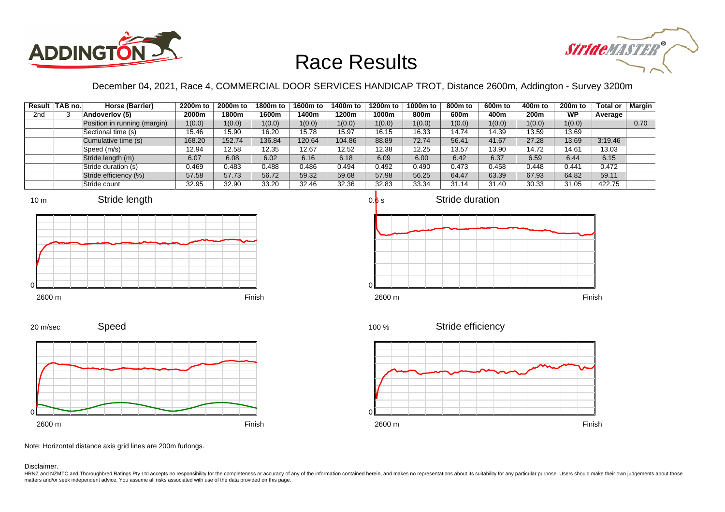



December 04, 2021, Race 4, COMMERCIAL DOOR SERVICES HANDICAP TROT, Distance 2600m, Addington - Survey 3200m

|                 | Result TAB no. | Horse (Barrier)              | 2200m to | 2000m to | 1800m to | 1600m to | 1400m to | 1200m to | 1000m to | 800m to | 600m to | 400m to | 200 <sub>m</sub> to | Total or | <b>Margin</b> |
|-----------------|----------------|------------------------------|----------|----------|----------|----------|----------|----------|----------|---------|---------|---------|---------------------|----------|---------------|
| 2 <sub>nd</sub> |                | Andoverlov (5)               | 2000m    | 1800m    | 1600m    | 1400m    | 1200m    | 1000m    | 800m     | 600m    | 400m    | 200m    | <b>WP</b>           | Average  |               |
|                 |                | Position in running (margin) | 1(0.0)   | 1(0.0)   | 1(0.0)   | 1(0.0)   | 1(0.0)   | 1(0.0)   | 1(0.0)   | 1(0.0)  | 1(0.0)  | 1(0.0)  | 1(0.0)              |          | 0.70          |
|                 |                | Sectional time (s)           | 15.46    | 15.90    | 16.20    | 15.78    | 15.97    | 16.15    | 16.33    | 14.74   | 14.39   | 13.59   | 13.69               |          |               |
|                 |                | Cumulative time (s)          | 168.20   | 152.74   | 136.84   | 120.64   | 104.86   | 88.89    | 72.74    | 56.41   | 41.67   | 27.28   | 13.69               | 3:19.46  |               |
|                 |                | Speed (m/s)                  | 12.94    | 12.58    | 12.35    | 12.67    | 12.52    | 12.38    | 12.25    | 13.57   | 13.90   | 14.72   | 14.61               | 13.03    |               |
|                 |                | Stride length (m)            | 6.07     | 6.08     | 6.02     | 6.16     | 6.18     | 6.09     | 6.00     | 6.42    | 6.37    | 6.59    | 6.44                | 6.15     |               |
|                 |                | Stride duration (s)          | 0.469    | 0.483    | 0.488    | 0.486    | 0.494    | 0.492    | 0.490    | 0.473   | 0.458   | 0.448   | 0.441               | 0.472    |               |
|                 |                | Stride efficiency (%)        | 57.58    | 57.73    | 56.72    | 59.32    | 59.68    | 57.98    | 56.25    | 64.47   | 63.39   | 67.93   | 64.82               | 59.11    |               |
|                 |                | Stride count                 | 32.95    | 32.90    | 33.20    | 32.46    | 32.36    | 32.83    | 33.34    | 31.14   | 31.40   | 30.33   | 31.05               | 422.75   |               |











Note: Horizontal distance axis grid lines are 200m furlongs.

Disclaimer.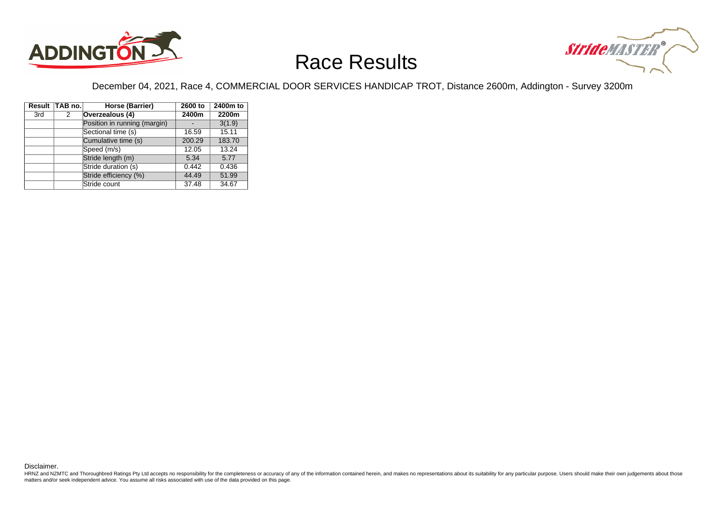



December 04, 2021, Race 4, COMMERCIAL DOOR SERVICES HANDICAP TROT, Distance 2600m, Addington - Survey 3200m

|     | Result TAB no. | Horse (Barrier)              | 2600 to | 2400m to |
|-----|----------------|------------------------------|---------|----------|
| 3rd | 2              | Overzealous (4)              | 2400m   | 2200m    |
|     |                | Position in running (margin) |         | 3(1.9)   |
|     |                | Sectional time (s)           | 16.59   | 15.11    |
|     |                | Cumulative time (s)          | 200.29  | 183.70   |
|     |                | Speed (m/s)                  | 12.05   | 13.24    |
|     |                | Stride length (m)            | 5.34    | 5.77     |
|     |                | Stride duration (s)          | 0.442   | 0.436    |
|     |                | Stride efficiency (%)        | 44.49   | 51.99    |
|     |                | Stride count                 | 37.48   | 34.67    |

Disclaimer.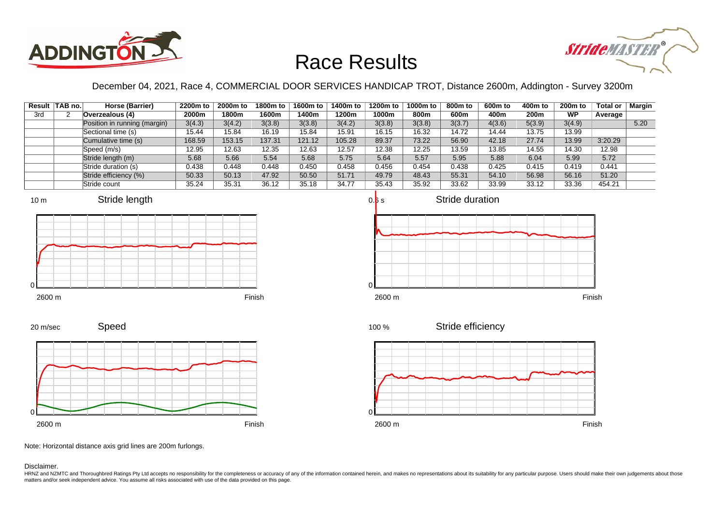



December 04, 2021, Race 4, COMMERCIAL DOOR SERVICES HANDICAP TROT, Distance 2600m, Addington - Survey 3200m

|     | Result TAB no. | Horse (Barrier)              | 2200m to | 2000m to | 1800m to | 1600m to | 1400m to | 1200m to | 1000m to | 800m to | 600m to | 400m to | 200 <sub>m</sub> to | Total or | <b>Margin</b> |
|-----|----------------|------------------------------|----------|----------|----------|----------|----------|----------|----------|---------|---------|---------|---------------------|----------|---------------|
| 3rd |                | Overzealous (4)              | 2000m    | 1800m    | 1600m    | 1400m    | 1200m    | 1000m    | 800m     | 600m    | 400m    | 200m    | <b>WP</b>           | Average  |               |
|     |                | Position in running (margin) | 3(4.3)   | 3(4.2)   | 3(3.8)   | 3(3.8)   | 3(4.2)   | 3(3.8)   | 3(3.8)   | 3(3.7)  | 4(3.6)  | 5(3.9)  | 3(4.9)              |          | 5.20          |
|     |                | Sectional time (s)           | 15.44    | 15.84    | 16.19    | 15.84    | 15.91    | 16.15    | 16.32    | 14.72   | 14.44   | 13.75   | 13.99               |          |               |
|     |                | Cumulative time (s)          | 168.59   | 153.15   | 137.31   | 121.12   | 105.28   | 89.37    | 73.22    | 56.90   | 42.18   | 27.74   | 13.99               | 3:20.29  |               |
|     |                | Speed (m/s)                  | 12.95    | 12.63    | 12.35    | 12.63    | 12.57    | 12.38    | 12.25    | 13.59   | 13.85   | 14.55   | 14.30               | 12.98    |               |
|     |                | Stride length (m)            | 5.68     | 5.66     | 5.54     | 5.68     | 5.75     | 5.64     | 5.57     | 5.95    | 5.88    | 6.04    | 5.99                | 5.72     |               |
|     |                | Stride duration (s)          | 0.438    | 0.448    | 0.448    | 0.450    | 0.458    | 0.456    | 0.454    | 0.438   | 0.425   | 0.415   | 0.419               | 0.441    |               |
|     |                | Stride efficiency (%)        | 50.33    | 50.13    | 47.92    | 50.50    | 51.71    | 49.79    | 48.43    | 55.31   | 54.10   | 56.98   | 56.16               | 51.20    |               |
|     |                | Stride count                 | 35.24    | 35.31    | 36.12    | 35.18    | 34.77    | 35.43    | 35.92    | 33.62   | 33.99   | 33.12   | 33.36               | 454.21   |               |











Speed







Note: Horizontal distance axis grid lines are 200m furlongs.

Disclaimer.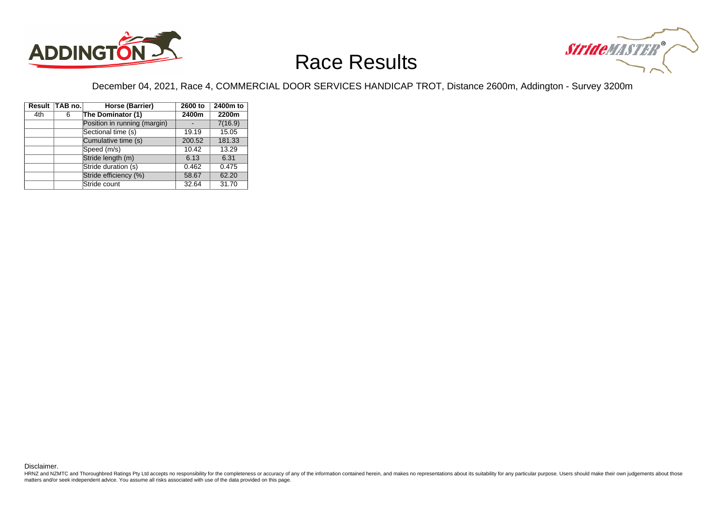



December 04, 2021, Race 4, COMMERCIAL DOOR SERVICES HANDICAP TROT, Distance 2600m, Addington - Survey 3200m

|     | Result TAB no. | Horse (Barrier)              | 2600 to | 2400m to |
|-----|----------------|------------------------------|---------|----------|
| 4th | 6              | The Dominator (1)            | 2400m   | 2200m    |
|     |                | Position in running (margin) |         | 7(16.9)  |
|     |                | Sectional time (s)           | 19.19   | 15.05    |
|     |                | Cumulative time (s)          | 200.52  | 181.33   |
|     |                | Speed (m/s)                  | 10.42   | 13.29    |
|     |                | Stride length (m)            | 6.13    | 6.31     |
|     |                | Stride duration (s)          | 0.462   | 0.475    |
|     |                | Stride efficiency (%)        | 58.67   | 62.20    |
|     |                | Stride count                 | 32.64   | 31.70    |

Disclaimer.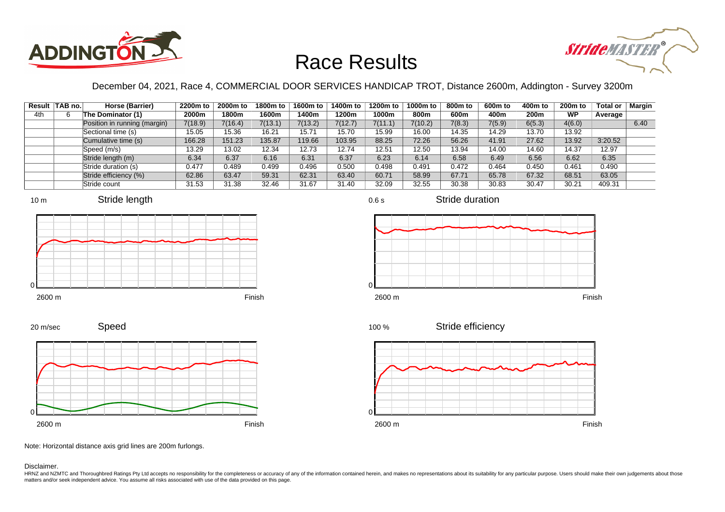



December 04, 2021, Race 4, COMMERCIAL DOOR SERVICES HANDICAP TROT, Distance 2600m, Addington - Survey 3200m

0.6 s

|     | Result TAB no. | Horse (Barrier)              | 2200m to | 2000m to | 1800m to | 1600m to | 1400m to | 1200m to | 1000m to | 800m to | 600m to | 400m to          | 200 <sub>m</sub> to | Total or | Margin |
|-----|----------------|------------------------------|----------|----------|----------|----------|----------|----------|----------|---------|---------|------------------|---------------------|----------|--------|
| 4th |                | The Dominator (1)            | 2000m    | 1800m    | 1600m    | l 400m   | 1200m    | 1000m    | 800m     | 600m    | 400m    | 200 <sub>m</sub> | <b>WP</b>           | Average  |        |
|     |                | Position in running (margin) | 7(18.9)  | 7(16.4)  | 7(13.1)  | 7(13.2)  | 7(12.7)  | 7(11.1)  | 7(10.2)  | 7(8.3)  | 7(5.9)  | 6(5.3)           | 4(6.0)              |          | 6.40   |
|     |                | Sectional time (s)           | 15.05    | 15.36    | 16.21    | 15.71    | 15.70    | 15.99    | 16.00    | 14.35   | 14.29   | 13.70            | 13.92               |          |        |
|     |                | Cumulative time (s)          | 166.28   | 151.23   | 135.87   | 119.66   | 103.95   | 88.25    | 72.26    | 56.26   | 41.91   | 27.62            | 13.92               | 3:20.52  |        |
|     |                | Speed (m/s)                  | 13.29    | 13.02    | 12.34    | 12.73    | 12.74    | 12.51    | 12.50    | 13.94   | 14.00   | 14.60            | 14.37               | 12.97    |        |
|     |                | Stride length (m)            | 6.34     | 6.37     | 6.16     | 6.31     | 6.37     | 6.23     | 6.14     | 6.58    | 6.49    | 6.56             | 6.62                | 6.35     |        |
|     |                | Stride duration (s)          | 0.477    | 0.489    | 0.499    | 0.496    | 0.500    | 0.498    | 0.491    | 0.472   | 0.464   | 0.450            | 0.461               | 0.490    |        |
|     |                | Stride efficiency (%)        | 62.86    | 63.47    | 59.31    | 62.31    | 63.40    | 60.71    | 58.99    | 67.71   | 65.78   | 67.32            | 68.51               | 63.05    |        |
|     |                | Stride count                 | 31.53    | 31.38    | 32.46    | 31.67    | 31.40    | 32.09    | 32.55    | 30.38   | 30.83   | 30.47            | 30.21               | 409.31   |        |











100 %

Stride efficiency



2600 m Finish

Note: Horizontal distance axis grid lines are 200m furlongs.

Disclaimer.

HRNZ and NZMTC and Thoroughbred Ratings Pty Ltd accepts no responsibility for the completeness or accuracy of any of the information contained herein, and makes no representations about its suitability for any particular p matters and/or seek independent advice. You assume all risks associated with use of the data provided on this page.

Stride duration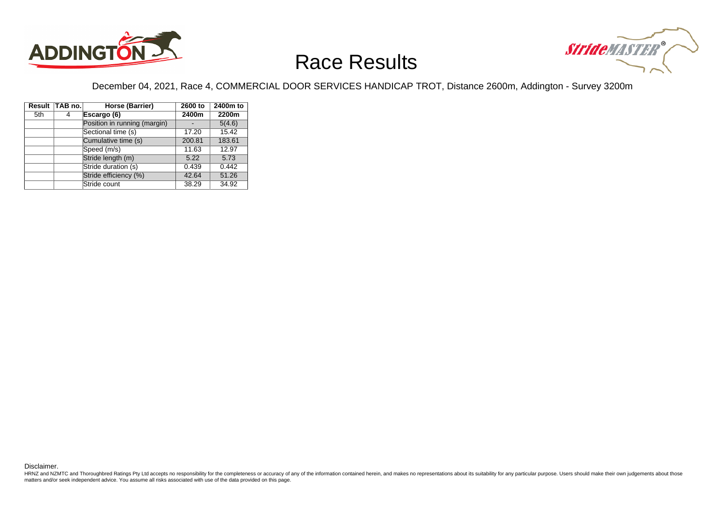



December 04, 2021, Race 4, COMMERCIAL DOOR SERVICES HANDICAP TROT, Distance 2600m, Addington - Survey 3200m

|     | Result TAB no. | Horse (Barrier)              | 2600 to | 2400m to |
|-----|----------------|------------------------------|---------|----------|
| 5th | 4              | Escargo (6)                  | 2400m   | 2200m    |
|     |                | Position in running (margin) |         | 5(4.6)   |
|     |                | Sectional time (s)           | 17.20   | 15.42    |
|     |                | Cumulative time (s)          | 200.81  | 183.61   |
|     |                | Speed (m/s)                  | 11.63   | 12.97    |
|     |                | Stride length (m)            | 5.22    | 5.73     |
|     |                | Stride duration (s)          | 0.439   | 0.442    |
|     |                | Stride efficiency (%)        | 42.64   | 51.26    |
|     |                | Stride count                 | 38.29   | 34.92    |

Disclaimer.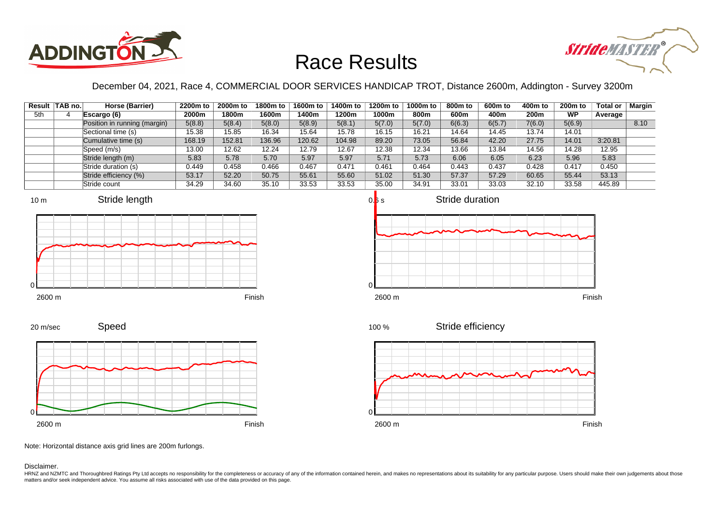



December 04, 2021, Race 4, COMMERCIAL DOOR SERVICES HANDICAP TROT, Distance 2600m, Addington - Survey 3200m

|     | Result TAB no. | Horse (Barrier)              | 2200m to | 2000m to | 1800m to | 1600m to | 1400m to | 1200m to | 1000m to | 800m to | 600m to | 400m to | 200 <sub>m</sub> to | <b>Total or</b> | <b>Margin</b> |
|-----|----------------|------------------------------|----------|----------|----------|----------|----------|----------|----------|---------|---------|---------|---------------------|-----------------|---------------|
| 5th |                | Escargo (6)                  | 2000m    | 1800m    | 1600m    | 1400m    | 1200m    | 1000m    | 800m     | 600m    | 400m    | 200m    | <b>WP</b>           | Average         |               |
|     |                | Position in running (margin) | 5(8.8)   | 5(8.4)   | 5(8.0)   | 5(8.9)   | 5(8.1)   | 5(7.0)   | 5(7.0)   | 6(6.3)  | 6(5.7)  | 7(6.0)  | 5(6.9)              |                 | 8.10          |
|     |                | Sectional time (s)           | 15.38    | 15.85    | 16.34    | 15.64    | 15.78    | 16.15    | 16.21    | 14.64   | 14.45   | 13.74   | 14.01               |                 |               |
|     |                | Cumulative time (s)          | 168.19   | 152.81   | 136.96   | 120.62   | 104.98   | 89.20    | 73.05    | 56.84   | 42.20   | 27.75   | 14.01               | 3:20.81         |               |
|     |                | Speed (m/s)                  | 13.00    | 12.62    | 12.24    | 12.79    | 12.67    | 12.38    | 12.34    | 13.66   | 13.84   | 14.56   | 14.28               | 12.95           |               |
|     |                | Stride length (m)            | 5.83     | 5.78     | 5.70     | 5.97     | 5.97     | 5.71     | 5.73     | 6.06    | 6.05    | 6.23    | 5.96                | 5.83            |               |
|     |                | Stride duration (s)          | 0.449    | 0.458    | 0.466    | 0.467    | 0.471    | 0.461    | 0.464    | 0.443   | 0.437   | 0.428   | 0.417               | 0.450           |               |
|     |                | Stride efficiency (%)        | 53.17    | 52.20    | 50.75    | 55.61    | 55.60    | 51.02    | 51.30    | 57.37   | 57.29   | 60.65   | 55.44               | 53.13           |               |
|     |                | Stride count                 | 34.29    | 34.60    | 35.10    | 33.53    | 33.53    | 35.00    | 34.91    | 33.01   | 33.03   | 32.10   | 33.58               | 445.89          |               |







Speed 20 m/sec



Note: Horizontal distance axis grid lines are 200m furlongs.

Disclaimer.

HRNZ and NZMTC and Thoroughbred Ratings Pty Ltd accepts no responsibility for the completeness or accuracy of any of the information contained herein, and makes no representations about its suitability for any particular p matters and/or seek independent advice. You assume all risks associated with use of the data provided on this page.

100 %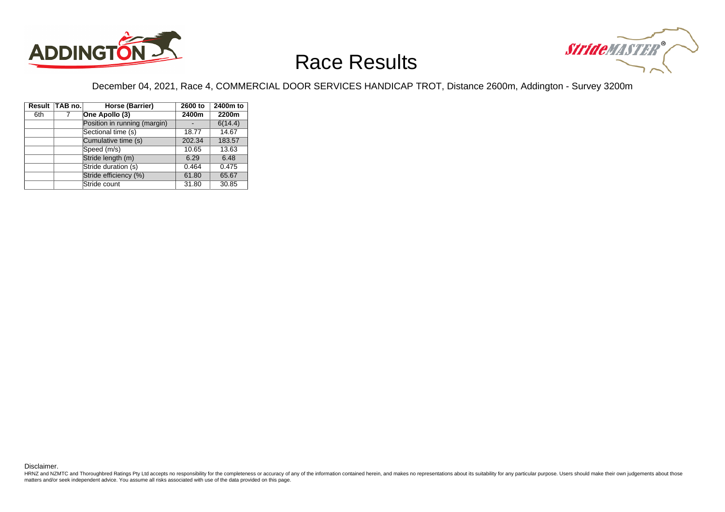



December 04, 2021, Race 4, COMMERCIAL DOOR SERVICES HANDICAP TROT, Distance 2600m, Addington - Survey 3200m

|     | Result TAB no. | Horse (Barrier)              | 2600 to | 2400m to |
|-----|----------------|------------------------------|---------|----------|
| 6th |                | One Apollo (3)               | 2400m   | 2200m    |
|     |                | Position in running (margin) |         | 6(14.4)  |
|     |                | Sectional time (s)           | 18.77   | 14.67    |
|     |                | Cumulative time (s)          | 202.34  | 183.57   |
|     |                | Speed (m/s)                  | 10.65   | 13.63    |
|     |                | Stride length (m)            | 6.29    | 6.48     |
|     |                | Stride duration (s)          | 0.464   | 0.475    |
|     |                | Stride efficiency (%)        | 61.80   | 65.67    |
|     |                | Stride count                 | 31.80   | 30.85    |

Disclaimer.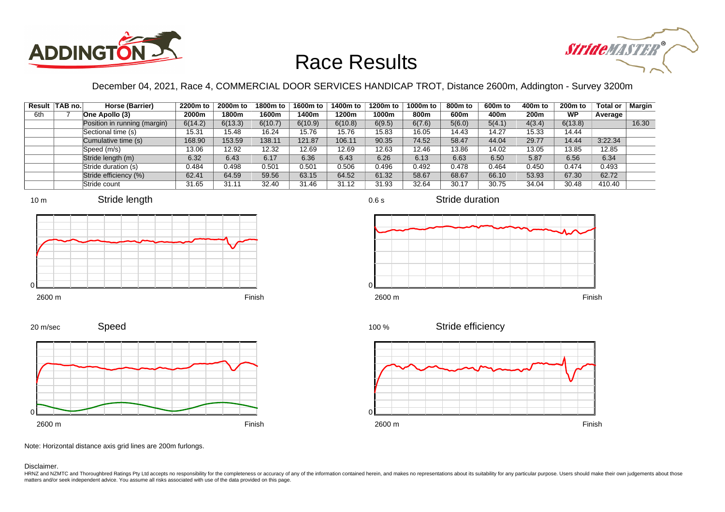



December 04, 2021, Race 4, COMMERCIAL DOOR SERVICES HANDICAP TROT, Distance 2600m, Addington - Survey 3200m

0.6 s

|     | Result   TAB no. | Horse (Barrier)              | 2200m to | 2000m to | 1800m to | 1600m to | 1400m to | 1200m to | 1000m to | 800m to | 600m to | 400m to | 200 <sub>m</sub> to | Total or | <b>Margin</b> |
|-----|------------------|------------------------------|----------|----------|----------|----------|----------|----------|----------|---------|---------|---------|---------------------|----------|---------------|
| 6th |                  | One Apollo (3)               | 2000m    | 1800m    | 1600m    | l 400m   | 1200m    | 1000m    | 800m     | 600m    | 400m    | 200m    | <b>WP</b>           | Average  |               |
|     |                  | Position in running (margin) | 6(14.2)  | 6(13.3)  | 6(10.7)  | 6(10.9)  | 6(10.8)  | 6(9.5)   | 6(7.6)   | 5(6.0)  | 5(4.1)  | 4(3.4)  | 6(13.8)             |          | 16.30         |
|     |                  | Sectional time (s)           | 15.31    | 15.48    | 16.24    | 15.76    | 15.76    | 15.83    | 16.05    | 14.43   | 14.27   | 15.33   | 14.44               |          |               |
|     |                  | Cumulative time (s)          | 168.90   | 153.59   | 138.11   | 121.87   | 106.11   | 90.35    | 74.52    | 58.47   | 44.04   | 29.77   | 14.44               | 3:22.34  |               |
|     |                  | Speed (m/s)                  | 13.06    | 12.92    | 12.32    | 12.69    | 12.69    | 12.63    | 12.46    | 13.86   | 14.02   | 13.05   | 13.85               | 12.85    |               |
|     |                  | Stride length (m)            | 6.32     | 6.43     | 6.17     | 6.36     | 6.43     | 6.26     | 6.13     | 6.63    | 6.50    | 5.87    | 6.56                | 6.34     |               |
|     |                  | Stride duration (s)          | 0.484    | 0.498    | 0.501    | 0.501    | 0.506    | 0.496    | 0.492    | 0.478   | 0.464   | 0.450   | 0.474               | 0.493    |               |
|     |                  | Stride efficiency (%)        | 62.41    | 64.59    | 59.56    | 63.15    | 64.52    | 61.32    | 58.67    | 68.67   | 66.10   | 53.93   | 67.30               | 62.72    |               |
|     |                  | Stride count                 | 31.65    | 31.11    | 32.40    | 31.46    | 31.12    | 31.93    | 32.64    | 30.17   | 30.75   | 34.04   | 30.48               | 410.40   |               |









Stride duration





Speed



Stride efficiency 100 %



Note: Horizontal distance axis grid lines are 200m furlongs.

Disclaimer.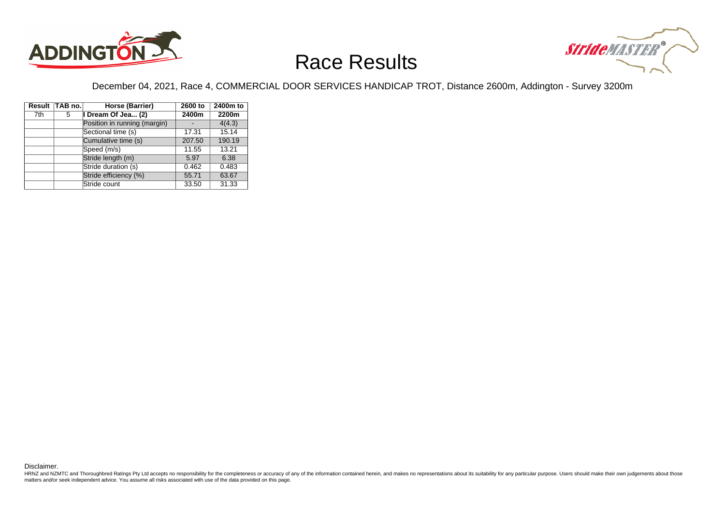



December 04, 2021, Race 4, COMMERCIAL DOOR SERVICES HANDICAP TROT, Distance 2600m, Addington - Survey 3200m

|     | Result TAB no. | Horse (Barrier)              | 2600 to | 2400m to |  |
|-----|----------------|------------------------------|---------|----------|--|
| 7th | 5              | I Dream Of Jea (2)           | 2400m   | 2200m    |  |
|     |                | Position in running (margin) |         | 4(4.3)   |  |
|     |                | Sectional time (s)           | 17.31   | 15.14    |  |
|     |                | Cumulative time (s)          | 207.50  | 190.19   |  |
|     |                | Speed (m/s)                  | 11.55   | 13.21    |  |
|     |                | Stride length (m)            | 5.97    | 6.38     |  |
|     |                | Stride duration (s)          | 0.462   | 0.483    |  |
|     |                | Stride efficiency (%)        | 55.71   | 63.67    |  |
|     |                | Stride count                 | 33.50   | 31.33    |  |

Disclaimer.